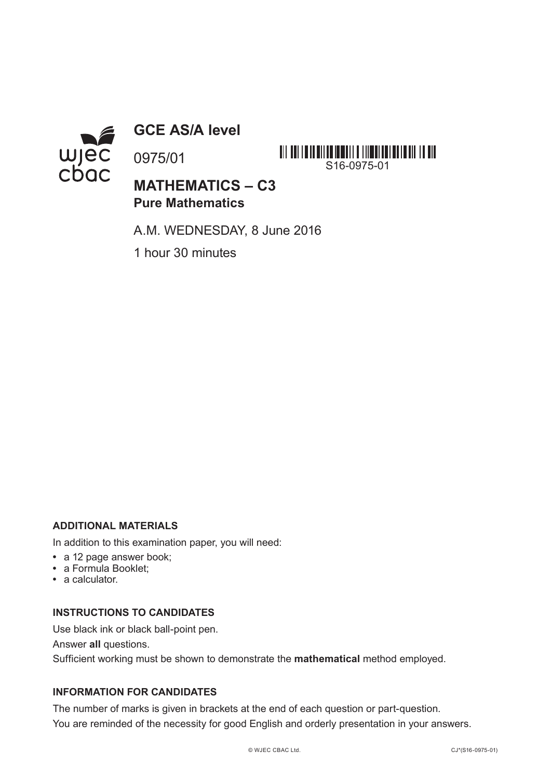

**GCE AS/A level**

0975/01

**MATHEMATICS – C3 Pure Mathematics**

A.M. WEDNESDAY, 8 June 2016

S16-0975-01

<u> AI I ANI I MANUSI AMBANG I I I I I I ANG I MAI MUNISI I ANG INA ANG INA ANG INA ANG INA ANG INA ANG INA ANG I</u>

1 hour 30 minutes

## **ADDITIONAL MATERIALS**

In addition to this examination paper, you will need:

- **•** a 12 page answer book;
- **•** a Formula Booklet;
- **•** a calculator.

## **INSTRUCTIONS TO CANDIDATES**

Use black ink or black ball-point pen.

Answer **all** questions.

Sufficient working must be shown to demonstrate the **mathematical** method employed.

## **INFORMATION FOR CANDIDATES**

The number of marks is given in brackets at the end of each question or part-question. You are reminded of the necessity for good English and orderly presentation in your answers.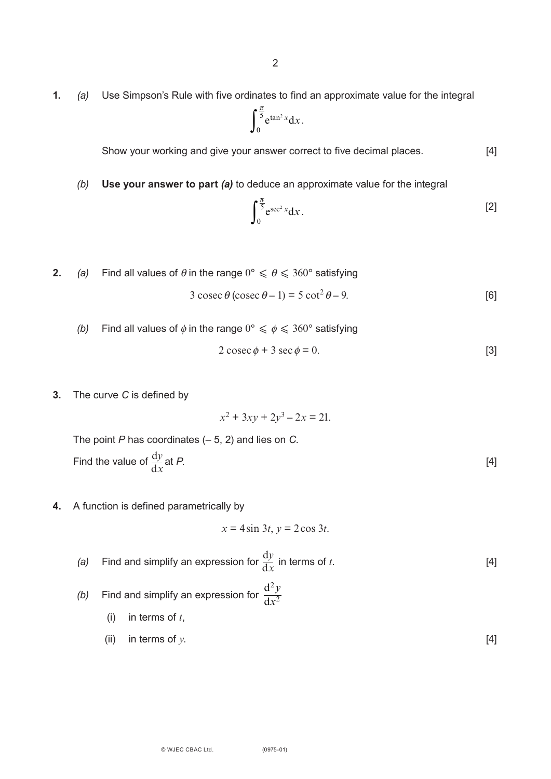**1.** *(a)* Use Simpson's Rule with five ordinates to find an approximate value for the integral

$$
\int_0^{\frac{\pi}{5}} e^{\tan^2 x} dx.
$$

Show your working and give your answer correct to five decimal places. [4]

*(b)* **Use your answer to part** *(a)* to deduce an approximate value for the integral

$$
\int_0^{\frac{\pi}{5}} e^{\sec^2 x} dx.
$$
 [2]

- **2.** *(a)* Find all values of  $\theta$  in the range  $0^{\circ} \le \theta \le 360^{\circ}$  satisfying  $3 \csc \theta (\csc \theta - 1) = 5 \cot^2 \theta - 9.$  [6]
	- *(b)* Find all values of  $\phi$  in the range  $0^{\circ} \le \phi \le 360^{\circ}$  satisfying

$$
2\csc\phi + 3\sec\phi = 0.
$$
 [3]

**3.** The curve *C* is defined by

 $x^2 + 3xy + 2y^3 - 2x = 21$ .

The point *P* has coordinates (– 5, 2) and lies on *C*. Find the value of  $\frac{dy}{dx}$  at *P*. d*x*

**4.** A function is defined parametrically by

$$
x = 4\sin 3t, y = 2\cos 3t.
$$

- (a) Find and simplify an expression for  $\frac{dy}{dx}$  in terms of *t*. [4] d*x*
- (b) Find and simplify an expression for  $\frac{d}{1}$ d 2 2 *y x*
	- (i) in terms of *t*,
	- (ii) in terms of  $y$ . [4]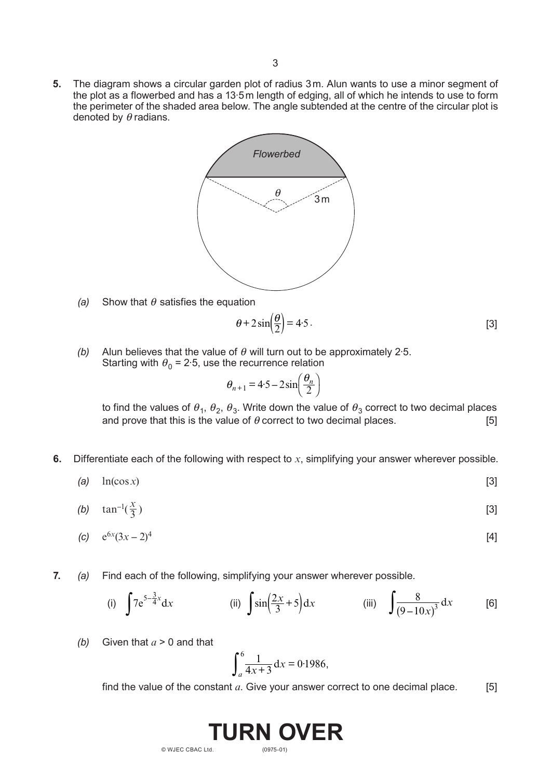**5.** The diagram shows a circular garden plot of radius 3m. Alun wants to use a minor segment of the plot as a flowerbed and has a 13·5m length of edging, all of which he intends to use to form the perimeter of the shaded area below. The angle subtended at the centre of the circular plot is denoted by  $\theta$  radians.



*(a)* Show that  $\theta$  satisfies the equation

$$
\theta + 2\sin\left(\frac{\theta}{2}\right) = 4.5\,. \tag{3}
$$

*(b)* Alun believes that the value of  $\theta$  will turn out to be approximately 2.5. Starting with  $\theta_0 = 2.5$ , use the recurrence relation

$$
\theta_{n+1} = 4.5 - 2\sin\left(\frac{\theta_n}{2}\right)
$$

to find the values of  $\theta_1$ ,  $\theta_2$ ,  $\theta_3$ . Write down the value of  $\theta_3$  correct to two decimal places and prove that this is the value of  $\theta$  correct to two decimal places. [5] and prove that this is the value of  $\theta$  correct to two decimal places.

**6.** Differentiate each of the following with respect to *x*, simplifying your answer wherever possible.

$$
(a) \quad \ln(\cos x) \tag{3}
$$

$$
(b) \quad \tan^{-1}(\frac{x}{3}) \tag{3}
$$

(c) 
$$
e^{6x}(3x-2)^4
$$
 [4]

**7.** *(a)* Find each of the following, simplifying your answer wherever possible.

(i) 
$$
\int 7e^{5-\frac{3}{4}x} dx
$$
 (ii)  $\int \sin(\frac{2x}{3}+5) dx$  (iii)  $\int \frac{8}{(9-10x)^3} dx$  [6]

*(b)* Given that *a* > 0 and that

$$
\int_{a}^{6} \frac{1}{4x+3} \, \mathrm{d}x = 0.1986,
$$

find the value of the constant  $a$ . Give your answer correct to one decimal place.  $[5]$